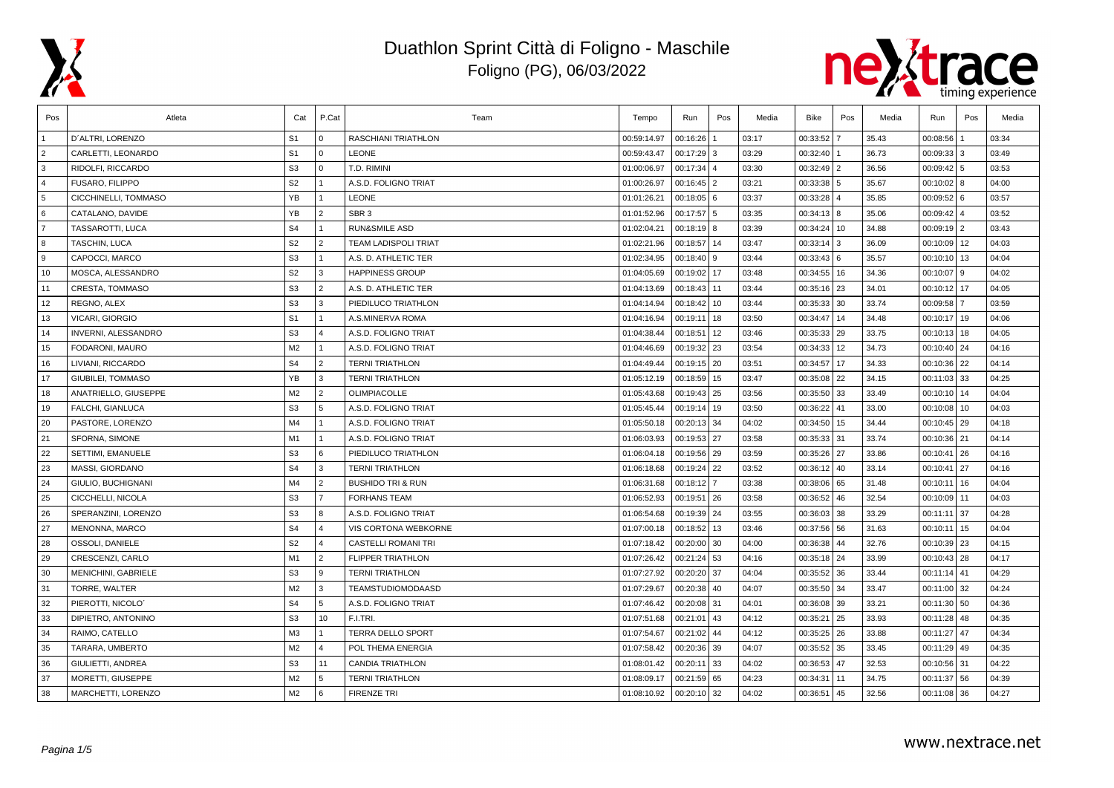



| Pos            | Atleta                     | Cat            | P.Cat          | Team                         | Tempo       | Run           | Pos                 | Media | Bike          | Pos  | Media | Run             | Pos            | Media |
|----------------|----------------------------|----------------|----------------|------------------------------|-------------|---------------|---------------------|-------|---------------|------|-------|-----------------|----------------|-------|
|                | D'ALTRI, LORENZO           | S <sub>1</sub> | 0              | RASCHIANI TRIATHLON          | 00:59:14.97 | 00:16:26      |                     | 03:17 | 00:33:52      |      | 35.43 | 00:08:56        |                | 03:34 |
| $\overline{2}$ | CARLETTI, LEONARDO         | S <sub>1</sub> | l o            | <b>LEONE</b>                 | 00:59:43.47 | 00:17:29      | 3                   | 03:29 | 00:32:40      |      | 36.73 | 00:09:33        | 3              | 03:49 |
| 3              | RIDOLFI, RICCARDO          | S <sub>3</sub> | l 0            | T.D. RIMINI                  | 01:00:06.97 | 00:17:34      | $\overline{\bf{4}}$ | 03:30 | 00:32:49 2    |      | 36.56 | 00:09:42        | 5              | 03:53 |
| $\overline{4}$ | FUSARO, FILIPPO            | S <sub>2</sub> | $\overline{1}$ | A.S.D. FOLIGNO TRIAT         | 01:00:26.97 | 00:16:45 2    |                     | 03:21 | 00:33:38 5    |      | 35.67 | 00:10:02        | l 8            | 04:00 |
| 5              | CICCHINELLI, TOMMASO       | <b>YB</b>      | $\mathbf{1}$   | <b>LEONE</b>                 | 01:01:26.21 | $00:18:05$ 6  |                     | 03:37 | 00:33:28 4    |      | 35.85 | 00:09:52        | 6              | 03:57 |
| 6              | CATALANO, DAVIDE           | YB             | $\overline{2}$ | SBR <sub>3</sub>             | 01:01:52.96 | 00:17:57 5    |                     | 03:35 | 00:34:13 8    |      | 35.06 | 00:09:42        | $\overline{4}$ | 03:52 |
| $\overline{7}$ | TASSAROTTI, LUCA           | S <sub>4</sub> | $\overline{1}$ | <b>RUN&amp;SMILE ASD</b>     | 01:02:04.21 | $00:18:19$ 8  |                     | 03:39 | 00:34:24 10   |      | 34.88 | $00:09:19$   2  |                | 03:43 |
| 8              | TASCHIN, LUCA              | S <sub>2</sub> | $\overline{2}$ | <b>TEAM LADISPOLI TRIAT</b>  | 01:02:21.96 | 00:18:57 14   |                     | 03:47 | $00:33:14$ 3  |      | 36.09 | 00:10:09        | 12             | 04:03 |
| 9              | CAPOCCI, MARCO             | S <sub>3</sub> | $\overline{1}$ | A.S. D. ATHLETIC TER         | 01:02:34.95 | 00:18:40      | 9                   | 03:44 | 00:33:43 6    |      | 35.57 | 00:10:10        | 13             | 04:04 |
| 10             | MOSCA, ALESSANDRO          | S <sub>2</sub> | 3              | <b>HAPPINESS GROUP</b>       | 01:04:05.69 | 00:19:02      | 17                  | 03:48 | 00:34:55 16   |      | 34.36 | 00:10:07        | 9              | 04:02 |
| 11             | CRESTA, TOMMASO            | S <sub>3</sub> | $\overline{2}$ | A.S. D. ATHLETIC TER         | 01:04:13.69 | 00:18:43      | 11                  | 03:44 | 00:35:16 23   |      | 34.01 | 00:10:12        | 17             | 04:05 |
| 12             | REGNO, ALEX                | S <sub>3</sub> | l 3            | PIEDILUCO TRIATHLON          | 01:04:14.94 | 00:18:42      | 10                  | 03:44 | 00:35:33 30   |      | 33.74 | 00:09:58        | $\overline{7}$ | 03:59 |
| 13             | <b>VICARI, GIORGIO</b>     | S <sub>1</sub> | $\overline{1}$ | A.S.MINERVA ROMA             | 01:04:16.94 | 00:19:11      | 18                  | 03:50 | 00:34:47 14   |      | 34.48 | 00:10:17        | 19             | 04:06 |
| 14             | <b>INVERNI, ALESSANDRO</b> | S <sub>3</sub> | $\overline{4}$ | A.S.D. FOLIGNO TRIAT         | 01:04:38.44 | 00:18:51      | 12                  | 03:46 | 00:35:33 29   |      | 33.75 | 00:10:13        | 18             | 04:05 |
| 15             | FODARONI, MAURO            | M2             | $\overline{1}$ | A.S.D. FOLIGNO TRIAT         | 01:04:46.69 | 00:19:32      | 23                  | 03:54 | 00:34:33 12   |      | 34.73 | $00:10:40$ 24   |                | 04:16 |
| 16             | LIVIANI, RICCARDO          | S <sub>4</sub> | $\overline{2}$ | <b>TERNI TRIATHLON</b>       | 01:04:49.44 | 00:19:15 20   |                     | 03:51 | 00:34:57 17   |      | 34.33 | $00:10:36$   22 |                | 04:14 |
| 17             | GIUBILEI, TOMMASO          | YB             | l 3            | <b>TERNI TRIATHLON</b>       | 01:05:12.19 | 00:18:59      | 15                  | 03:47 | 00:35:08 22   |      | 34.15 | 00:11:03        | 33             | 04:25 |
| 18             | ANATRIELLO, GIUSEPPE       | M2             | $\overline{2}$ | <b>OLIMPIACOLLE</b>          | 01:05:43.68 | 00:19:43 25   |                     | 03:56 | 00:35:50 33   |      | 33.49 | 00:10:10        | 14             | 04:04 |
| 19             | FALCHI, GIANLUCA           | S <sub>3</sub> | 5              | A.S.D. FOLIGNO TRIAT         | 01:05:45.44 | 00:19:14      | 19                  | 03:50 | 00:36:22 41   |      | 33.00 | 00:10:08        | 10             | 04:03 |
| 20             | PASTORE, LORENZO           | M4             | $\overline{1}$ | A.S.D. FOLIGNO TRIAT         | 01:05:50.18 | 00:20:13      | 34                  | 04:02 | 00:34:50 15   |      | 34.44 | $00:10:45$   29 |                | 04:18 |
| 21             | SFORNA, SIMONE             | M1             | $\vert$ 1      | A.S.D. FOLIGNO TRIAT         | 01:06:03.93 | 00:19:53 27   |                     | 03:58 | 00:35:33 31   |      | 33.74 | $00:10:36$   21 |                | 04:14 |
| 22             | SETTIMI, EMANUELE          | S <sub>3</sub> | l 6            | PIEDILUCO TRIATHLON          | 01:06:04.18 | 00:19:56 29   |                     | 03:59 | 00:35:26 27   |      | 33.86 | 00:10:41        | 26             | 04:16 |
| 23             | MASSI, GIORDANO            | S <sub>4</sub> | 3              | <b>TERNI TRIATHLON</b>       | 01:06:18.68 | 00:19:24      | 22                  | 03:52 | 00:36:12 40   |      | 33.14 | 00:10:41        | 27             | 04:16 |
| 24             | GIULIO, BUCHIGNANI         | M4             | $\overline{2}$ | <b>BUSHIDO TRI &amp; RUN</b> | 01:06:31.68 | 00:18:12      | $\overline{7}$      | 03:38 | 00:38:06 65   |      | 31.48 | 00:10:11        | 16             | 04:04 |
| 25             | CICCHELLI, NICOLA          | S <sub>3</sub> | $\overline{7}$ | <b>FORHANS TEAM</b>          | 01:06:52.93 | 00:19:51      | 26                  | 03:58 | 00:36:52 46   |      | 32.54 | 00:10:09        | l 11           | 04:03 |
| 26             | SPERANZINI, LORENZO        | S <sub>3</sub> | 8              | A.S.D. FOLIGNO TRIAT         | 01:06:54.68 | 00:19:39 24   |                     | 03:55 | 00:36:03 38   |      | 33.29 | 00:11:11        | 37             | 04:28 |
| 27             | <b>MENONNA, MARCO</b>      | S <sub>4</sub> | $\overline{4}$ | <b>VIS CORTONA WEBKORNE</b>  | 01:07:00.18 | 00:18:52      | 13                  | 03:46 | 00:37:56 56   |      | 31.63 | 00:10:11        | 15             | 04:04 |
| 28             | OSSOLI, DANIELE            | S <sub>2</sub> | $\overline{4}$ | <b>CASTELLI ROMANI TRI</b>   | 01:07:18.42 | 00:20:00      | 30                  | 04:00 | 00:36:38 44   |      | 32.76 | 00:10:39        | 23             | 04:15 |
| 29             | CRESCENZI, CARLO           | M1             | $\overline{2}$ | <b>FLIPPER TRIATHLON</b>     | 01:07:26.42 | $00:21:24$ 53 |                     | 04:16 | 00:35:18 24   |      | 33.99 | $00:10:43$ 28   |                | 04:17 |
| 30             | <b>MENICHINI, GABRIELE</b> | S <sub>3</sub> | l 9            | <b>TERNI TRIATHLON</b>       | 01:07:27.92 | 00:20:20      | 37                  | 04:04 | 00:35:52 36   |      | 33.44 | 00:11:14        | 41             | 04:29 |
| 31             | TORRE, WALTER              | M <sub>2</sub> | 3              | <b>TEAMSTUDIOMODAASD</b>     | 01:07:29.67 | 00:20:38      | 40                  | 04:07 | 00:35:50 34   |      | 33.47 | 00:11:00        | 32             | 04:24 |
| 32             | PIEROTTI. NICOLO'          | S <sub>4</sub> | 5              | A.S.D. FOLIGNO TRIAT         | 01:07:46.42 | 00:20:08      | 31                  | 04:01 | 00:36:08 39   |      | 33.21 | 00:11:30        | 50             | 04:36 |
| 33             | DIPIETRO, ANTONINO         | S <sub>3</sub> | 10             | F.I.TRI.                     | 01:07:51.68 | 00:21:01      | 43                  | 04:12 | 00:35:21 25   |      | 33.93 | 00:11:28        | 48             | 04:35 |
| 34             | RAIMO, CATELLO             | M <sub>3</sub> | $\overline{1}$ | <b>TERRA DELLO SPORT</b>     | 01:07:54.67 | 00:21:02      | 44                  | 04:12 | $00:35:25$ 26 |      | 33.88 | 00:11:27        | 47             | 04:34 |
| 35             | TARARA, UMBERTO            | M <sub>2</sub> | $\overline{4}$ | POL THEMA ENERGIA            | 01:07:58.42 | 00:20:36      | 39                  | 04:07 | 00:35:52 35   |      | 33.45 | 00:11:29        | 49             | 04:35 |
| 36             | GIULIETTI, ANDREA          | S <sub>3</sub> | 11             | <b>CANDIA TRIATHLON</b>      | 01:08:01.42 | 00:20:11      | 33                  | 04:02 | 00:36:53 47   |      | 32.53 | $00:10:56$ 31   |                | 04:22 |
| 37             | MORETTI, GIUSEPPE          | M <sub>2</sub> | 5              | <b>TERNI TRIATHLON</b>       | 01:08:09.17 | 00:21:59      | 65                  | 04:23 | 00:34:31      | l 11 | 34.75 | 00:11:37        | 56             | 04:39 |
| 38             | MARCHETTI, LORENZO         | M2             | l 6            | <b>FIRENZE TRI</b>           | 01:08:10.92 | $00:20:10$ 32 |                     | 04:02 | 00:36:51 45   |      | 32.56 | 00:11:08 36     |                | 04:27 |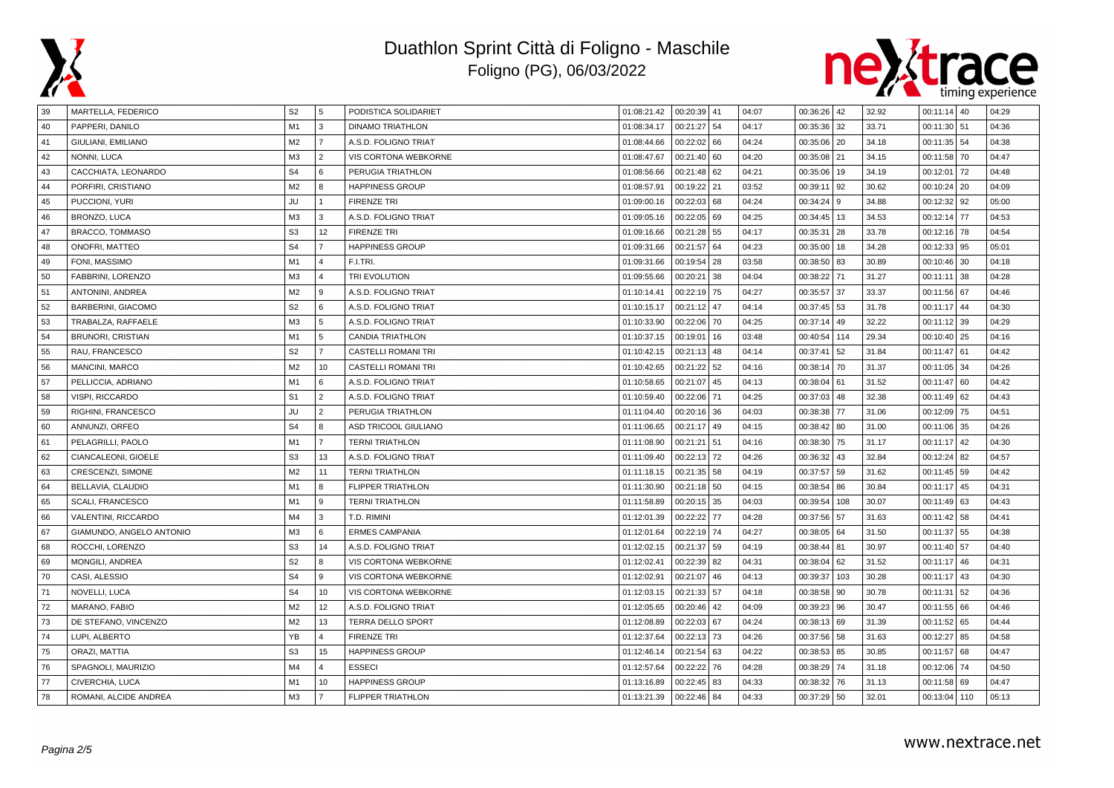



| 39 | MARTELLA, FEDERICO       | S <sub>2</sub> | 5              | PODISTICA SOLIDARIET       | 01:08:21.42 | 00:20:39 41 |    | 04:07 | 00:36:26 42 |     | 32.92 | $00:11:14$ 40 | 04:29 |
|----|--------------------------|----------------|----------------|----------------------------|-------------|-------------|----|-------|-------------|-----|-------|---------------|-------|
| 40 | PAPPERI, DANILO          | M1             | 3              | <b>DINAMO TRIATHLON</b>    | 01:08:34.17 | 00:21:27    | 54 | 04:17 | 00:35:36    | 32  | 33.71 | $00:11:30$ 51 | 04:36 |
| 41 | GIULIANI, EMILIANO       | M <sub>2</sub> | $\overline{7}$ | A.S.D. FOLIGNO TRIAT       | 01:08:44.66 | 00:22:02    | 66 | 04:24 | 00:35:06    | 20  | 34.18 | $00:11:35$ 54 | 04:38 |
| 42 | NONNI, LUCA              | M <sub>3</sub> | $\overline{2}$ | VIS CORTONA WEBKORNE       | 01:08:47.67 | 00:21:40    | 60 | 04:20 | 00:35:08 21 |     | 34.15 | 00:11:58 70   | 04:47 |
| 43 | CACCHIATA, LEONARDO      | S <sub>4</sub> | 6              | PERUGIA TRIATHLON          | 01:08:56.66 | 00:21:48    | 62 | 04:21 | 00:35:06 19 |     | 34.19 | $00:12:01$ 72 | 04:48 |
| 44 | PORFIRI, CRISTIANO       | M <sub>2</sub> | 8              | <b>HAPPINESS GROUP</b>     | 01:08:57.91 | 00:19:22    | 21 | 03:52 | 00:39:11    | 92  | 30.62 | $00:10:24$ 20 | 04:09 |
| 45 | PUCCIONI, YURI           | <b>JU</b>      | $\overline{1}$ | <b>FIRENZE TRI</b>         | 01:09:00.16 | 00:22:03    | 68 | 04:24 | 00:34:24    | 9   | 34.88 | 00:12:32   92 | 05:00 |
| 46 | BRONZO, LUCA             | M <sub>3</sub> | 3              | A.S.D. FOLIGNO TRIAT       | 01:09:05.16 | 00:22:05    | 69 | 04:25 | 00:34:45 13 |     | 34.53 | 00:12:14 77   | 04:53 |
| 47 | <b>BRACCO, TOMMASO</b>   | S <sub>3</sub> | 12             | <b>FIRENZE TRI</b>         | 01:09:16.66 | 00:21:28    | 55 | 04:17 | 00:35:31 28 |     | 33.78 | 00:12:16 78   | 04:54 |
| 48 | ONOFRI, MATTEO           | S <sub>4</sub> | $\overline{7}$ | <b>HAPPINESS GROUP</b>     | 01:09:31.66 | 00:21:57    | 64 | 04:23 | 00:35:00    | 18  | 34.28 | $00:12:33$ 95 | 05:01 |
| 49 | FONI. MASSIMO            | M1             | $\overline{4}$ | F.I.TRI.                   | 01:09:31.66 | 00:19:54    | 28 | 03:58 | 00:38:50    | 83  | 30.89 | $00:10:46$ 30 | 04:18 |
| 50 | FABBRINI, LORENZO        | M3             | $\overline{4}$ | TRI EVOLUTION              | 01:09:55.66 | 00:20:21    | 38 | 04:04 | 00:38:22    | 71  | 31.27 | $00:11:11$ 38 | 04:28 |
| 51 | ANTONINI, ANDREA         | M <sub>2</sub> | 9              | A.S.D. FOLIGNO TRIAT       | 01:10:14.41 | 00:22:19    | 75 | 04:27 | 00:35:57 37 |     | 33.37 | 00:11:56 67   | 04:46 |
| 52 | BARBERINI, GIACOMO       | S <sub>2</sub> | 6              | A.S.D. FOLIGNO TRIAT       | 01:10:15.17 | 00:21:12    | 47 | 04:14 | 00:37:45 53 |     | 31.78 | 00:11:17 44   | 04:30 |
| 53 | TRABALZA, RAFFAELE       | M <sub>3</sub> | 5              | A.S.D. FOLIGNO TRIAT       | 01:10:33.90 | 00:22:06    | 70 | 04:25 | 00:37:14    | 49  | 32.22 | 00:11:12 39   | 04:29 |
| 54 | <b>BRUNORI, CRISTIAN</b> | M1             | 5              | <b>CANDIA TRIATHLON</b>    | 01:10:37.15 | 00:19:01    | 16 | 03:48 | 00:40:54    | 114 | 29.34 | $00:10:40$ 25 | 04:16 |
| 55 | RAU, FRANCESCO           | S <sub>2</sub> | $\overline{7}$ | <b>CASTELLI ROMANI TRI</b> | 01:10:42.15 | 00:21:13    | 48 | 04:14 | 00:37:41    | 52  | 31.84 | $00:11:47$ 61 | 04:42 |
| 56 | MANCINI, MARCO           | M <sub>2</sub> | 10             | <b>CASTELLI ROMANI TRI</b> | 01:10:42.65 | 00:21:22    | 52 | 04:16 | 00:38:14    | 70  | 31.37 | $00:11:05$ 34 | 04:26 |
| 57 | PELLICCIA, ADRIANO       | M <sub>1</sub> | 6              | A.S.D. FOLIGNO TRIAT       | 01:10:58.65 | 00:21:07    | 45 | 04:13 | 00:38:04    | 61  | 31.52 | $00:11:47$ 60 | 04:42 |
| 58 | VISPI, RICCARDO          | S <sub>1</sub> | $\overline{2}$ | A.S.D. FOLIGNO TRIAT       | 01:10:59.40 | 00:22:06    | 71 | 04:25 | 00:37:03    | 48  | 32.38 | $00:11:49$ 62 | 04:43 |
| 59 | RIGHINI, FRANCESCO       | JU             | $\overline{2}$ | PERUGIA TRIATHLON          | 01:11:04.40 | 00:20:16    | 36 | 04:03 | 00:38:38    | 77  | 31.06 | $00:12:09$ 75 | 04:51 |
| 60 | ANNUNZI, ORFEO           | S <sub>4</sub> | 8              | ASD TRICOOL GIULIANO       | 01:11:06.65 | 00:21:17    | 49 | 04:15 | 00:38:42 80 |     | 31.00 | 00:11:06 35   | 04:26 |
| 61 | PELAGRILLI, PAOLO        | M1             | $\overline{7}$ | <b>TERNI TRIATHLON</b>     | 01:11:08.90 | 00:21:21    | 51 | 04:16 | 00:38:30    | 75  | 31.17 | $00:11:17$ 42 | 04:30 |
| 62 | CIANCALEONI, GIOELE      | S <sub>3</sub> | 13             | A.S.D. FOLIGNO TRIAT       | 01:11:09.40 | 00:22:13    | 72 | 04:26 | 00:36:32    | 43  | 32.84 | $00:12:24$ 82 | 04:57 |
| 63 | CRESCENZI, SIMONE        | M <sub>2</sub> | 11             | <b>TERNI TRIATHLON</b>     | 01:11:18.15 | 00:21:35    | 58 | 04:19 | 00:37:57 59 |     | 31.62 | $00:11:45$ 59 | 04:42 |
| 64 | BELLAVIA, CLAUDIO        | M1             | 8              | <b>FLIPPER TRIATHLON</b>   | 01:11:30.90 | 00:21:18    | 50 | 04:15 | 00:38:54    | 86  | 30.84 | $00:11:17$ 45 | 04:31 |
| 65 | SCALI, FRANCESCO         | M1             | 9              | <b>TERNI TRIATHLON</b>     | 01:11:58.89 | 00:20:15    | 35 | 04:03 | 00:39:54    | 108 | 30.07 | $00:11:49$ 63 | 04:43 |
| 66 | VALENTINI, RICCARDO      | M <sub>4</sub> | 3              | T.D. RIMINI                | 01:12:01.39 | 00:22:22    | 77 | 04:28 | 00:37:56    | 57  | 31.63 | $00:11:42$ 58 | 04:41 |
| 67 | GIAMUNDO, ANGELO ANTONIO | M <sub>3</sub> | 6              | <b>ERMES CAMPANIA</b>      | 01:12:01.64 | 00:22:19    | 74 | 04:27 | 00:38:05 64 |     | 31.50 | 00:11:37 55   | 04:38 |
| 68 | ROCCHI, LORENZO          | S <sub>3</sub> | 14             | A.S.D. FOLIGNO TRIAT       | 01:12:02.15 | 00:21:37    | 59 | 04:19 | 00:38:44 81 |     | 30.97 | $00:11:40$ 57 | 04:40 |
| 69 | MONGILI, ANDREA          | S <sub>2</sub> | 8              | VIS CORTONA WEBKORNE       | 01:12:02.41 | 00:22:39    | 82 | 04:31 | 00:38:04 62 |     | 31.52 | $00:11:17$ 46 | 04:31 |
| 70 | CASI, ALESSIO            | S <sub>4</sub> | 9              | VIS CORTONA WEBKORNE       | 01:12:02.91 | 00:21:07    | 46 | 04:13 | 00:39:37    | 103 | 30.28 | $00:11:17$ 43 | 04:30 |
| 71 | NOVELLI, LUCA            | S <sub>4</sub> | 10             | VIS CORTONA WEBKORNE       | 01:12:03.15 | 00:21:33    | 57 | 04:18 | 00:38:58    | 90  | 30.78 | $00:11:31$ 52 | 04:36 |
| 72 | MARANO, FABIO            | M <sub>2</sub> | 12             | A.S.D. FOLIGNO TRIAT       | 01:12:05.65 | 00:20:46    | 42 | 04:09 | 00:39:23 96 |     | 30.47 | 00:11:55 66   | 04:46 |
| 73 | DE STEFANO, VINCENZO     | M <sub>2</sub> | 13             | <b>TERRA DELLO SPORT</b>   | 01:12:08.89 | 00:22:03    | 67 | 04:24 | 00:38:13    | 69  | 31.39 | 00:11:52 65   | 04:44 |
| 74 | LUPI, ALBERTO            | YB             | $\overline{4}$ | <b>FIRENZE TRI</b>         | 01:12:37.64 | 00:22:13    | 73 | 04:26 | 00:37:56    | 58  | 31.63 | $00:12:27$ 85 | 04:58 |
| 75 | ORAZI, MATTIA            | S <sub>3</sub> | 15             | <b>HAPPINESS GROUP</b>     | 01:12:46.14 | 00:21:54    | 63 | 04:22 | 00:38:53    | 85  | 30.85 | $00:11:57$ 68 | 04:47 |
| 76 | SPAGNOLI, MAURIZIO       | M4             | $\overline{4}$ | <b>ESSECI</b>              | 01:12:57.64 | 00:22:22    | 76 | 04:28 | 00:38:29    | 74  | 31.18 | 00:12:06 74   | 04:50 |
| 77 | CIVERCHIA, LUCA          | M1             | 10             | <b>HAPPINESS GROUP</b>     | 01:13:16.89 | 00:22:45    | 83 | 04:33 | 00:38:32    | 76  | 31.13 | $00:11:58$ 69 | 04:47 |
| 78 | ROMANI, ALCIDE ANDREA    | M <sub>3</sub> | $\overline{7}$ | <b>FLIPPER TRIATHLON</b>   | 01:13:21.39 | 00:22:46    | 84 | 04:33 | 00:37:29 50 |     | 32.01 | 00:13:04 110  | 05:13 |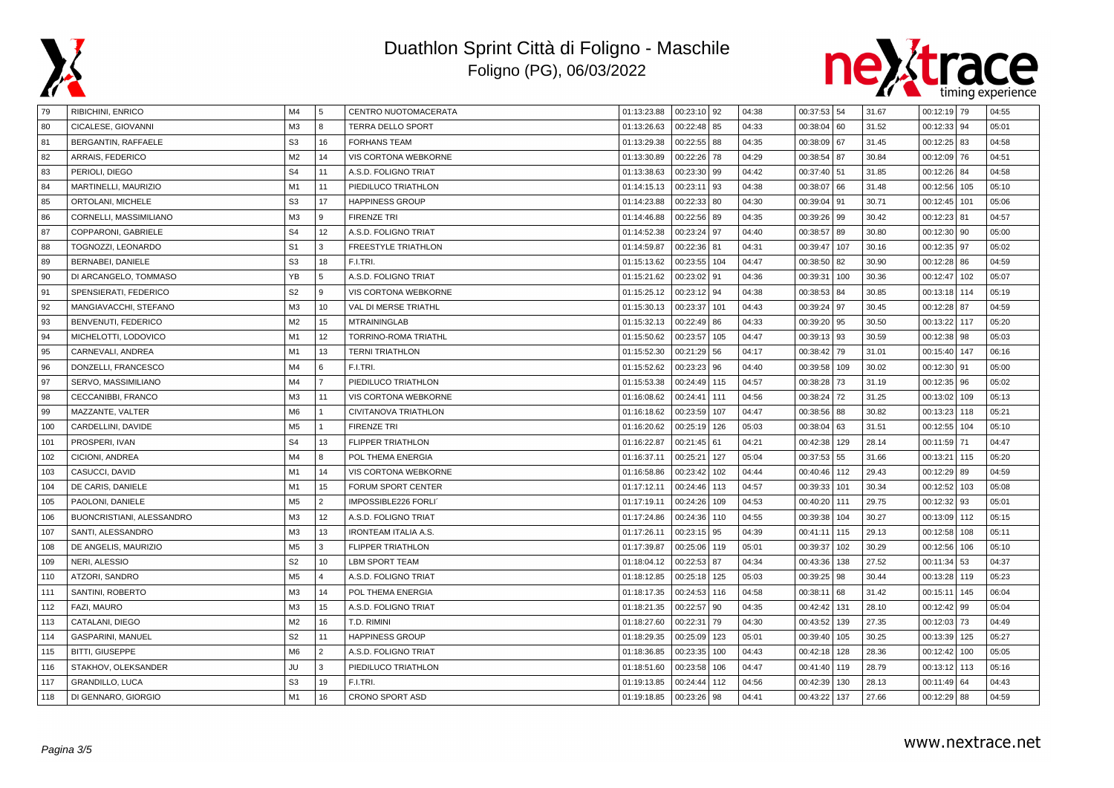



| 79  | <b>RIBICHINI, ENRICO</b>   | M4             | 5              | CENTRO NUOTOMACERATA        | 01:13:23.88 | $00:23:10$ 92 |     | 04:38 | 00:37:53 54 |     | 31.67 | $00:12:19$ 79  |     | 04:55 |
|-----|----------------------------|----------------|----------------|-----------------------------|-------------|---------------|-----|-------|-------------|-----|-------|----------------|-----|-------|
| 80  | CICALESE, GIOVANNI         | M <sub>3</sub> | 8              | <b>TERRA DELLO SPORT</b>    | 01:13:26.63 | 00:22:48      | 85  | 04:33 | 00:38:04    | 60  | 31.52 | $00:12:33$ 94  |     | 05:01 |
| 81  | BERGANTIN, RAFFAELE        | S <sub>3</sub> | 16             | <b>FORHANS TEAM</b>         | 01:13:29.38 | 00:22:55      | 88  | 04:35 | 00:38:09    | 67  | 31.45 | $00:12:25$ 83  |     | 04:58 |
| 82  | ARRAIS, FEDERICO           | M <sub>2</sub> | 14             | VIS CORTONA WEBKORNE        | 01:13:30.89 | 00:22:26      | 78  | 04:29 | 00:38:54 87 |     | 30.84 | $00:12:09$ 76  |     | 04:51 |
| 83  | PERIOLI, DIEGO             | S <sub>4</sub> | 11             | A.S.D. FOLIGNO TRIAT        | 01:13:38.63 | 00:23:30      | 99  | 04:42 | 00:37:40 51 |     | 31.85 | 00:12:26 84    |     | 04:58 |
| 84  | MARTINELLI, MAURIZIO       | M1             | 11             | PIEDILUCO TRIATHLON         | 01:14:15.13 | 00:23:11      | 93  | 04:38 | 00:38:07    | 66  | 31.48 | 00:12:56       | 105 | 05:10 |
| 85  | ORTOLANI, MICHELE          | S <sub>3</sub> | 17             | <b>HAPPINESS GROUP</b>      | 01:14:23.88 | 00:22:33      | 80  | 04:30 | 00:39:04    | 91  | 30.71 | 00:12:45       | 101 | 05:06 |
| 86  | CORNELLI, MASSIMILIANO     | M <sub>3</sub> | 9              | <b>FIRENZE TRI</b>          | 01:14:46.88 | 00:22:56      | 89  | 04:35 | 00:39:26    | 99  | 30.42 | $00:12:23$ 81  |     | 04:57 |
| 87  | COPPARONI, GABRIELE        | S <sub>4</sub> | 12             | A.S.D. FOLIGNO TRIAT        | 01:14:52.38 | 00:23:24      | 97  | 04:40 | 00:38:57    | 89  | 30.80 | 00:12:30   90  |     | 05:00 |
| 88  | TOGNOZZI, LEONARDO         | S <sub>1</sub> | 3              | FREESTYLE TRIATHLON         | 01:14:59.87 | 00:22:36      | 81  | 04:31 | 00:39:47    | 107 | 30.16 | 00:12:35   97  |     | 05:02 |
| 89  | BERNABEI, DANIELE          | S <sub>3</sub> | 18             | F.I.TRI.                    | 01:15:13.62 | 00:23:55      | 104 | 04:47 | 00:38:50    | 82  | 30.90 | $00:12:28$ 86  |     | 04:59 |
| 90  | DI ARCANGELO, TOMMASO      | YB             | 5              | A.S.D. FOLIGNO TRIAT        | 01:15:21.62 | 00:23:02      | 91  | 04:36 | 00:39:31    | 100 | 30.36 | 00:12:47       | 102 | 05:07 |
| 91  | SPENSIERATI, FEDERICO      | S <sub>2</sub> | 9              | <b>VIS CORTONA WEBKORNE</b> | 01:15:25.12 | 00:23:12      | 94  | 04:38 | 00:38:53    | 84  | 30.85 | 00:13:18 114   |     | 05:19 |
| 92  | MANGIAVACCHI, STEFANO      | M <sub>3</sub> | 10             | VAL DI MERSE TRIATHL        | 01:15:30.13 | 00:23:37      | 101 | 04:43 | 00:39:24 97 |     | 30.45 | $00:12:28$ 87  |     | 04:59 |
| 93  | <b>BENVENUTI, FEDERICO</b> | M <sub>2</sub> | 15             | <b>MTRAININGLAB</b>         | 01:15:32.13 | 00:22:49      | 86  | 04:33 | 00:39:20    | 95  | 30.50 | 00:13:22 117   |     | 05:20 |
| 94  | MICHELOTTI, LODOVICO       | M1             | 12             | <b>TORRINO-ROMA TRIATHL</b> | 01:15:50.62 | 00:23:57      | 105 | 04:47 | 00:39:13    | 93  | 30.59 | $00:12:38$ 98  |     | 05:03 |
| 95  | CARNEVALI, ANDREA          | M1             | 13             | <b>TERNI TRIATHLON</b>      | 01:15:52.30 | 00:21:29      | 56  | 04:17 | 00:38:42    | 79  | 31.01 | 00:15:40   147 |     | 06:16 |
| 96  | DONZELLI, FRANCESCO        | M4             | 6              | F.I.TRI.                    | 01:15:52.62 | 00:23:23      | 96  | 04:40 | 00:39:58    | 109 | 30.02 | $00:12:30$ 91  |     | 05:00 |
| 97  | SERVO, MASSIMILIANO        | M4             | $\overline{7}$ | PIEDILUCO TRIATHLON         | 01:15:53.38 | 00:24:49      | 115 | 04:57 | 00:38:28    | 73  | 31.19 | $00:12:35$ 96  |     | 05:02 |
| 98  | CECCANIBBI, FRANCO         | M3             | 11             | VIS CORTONA WEBKORNE        | 01:16:08.62 | 00:24:41      | 111 | 04:56 | 00:38:24    | 72  | 31.25 | 00:13:02       | 109 | 05:13 |
| 99  | MAZZANTE, VALTER           | M <sub>6</sub> |                | CIVITANOVA TRIATHLON        | 01:16:18.62 | 00:23:59      | 107 | 04:47 | 00:38:56    | 88  | 30.82 | 00:13:23   118 |     | 05:21 |
| 100 | CARDELLINI, DAVIDE         | M <sub>5</sub> |                | <b>FIRENZE TRI</b>          | 01:16:20.62 | 00:25:19      | 126 | 05:03 | 00:38:04 63 |     | 31.51 | 00:12:55 104   |     | 05:10 |
| 101 | PROSPERI, IVAN             | S <sub>4</sub> | 13             | <b>FLIPPER TRIATHLON</b>    | 01:16:22.87 | 00:21:45      | 61  | 04:21 | 00:42:38    | 129 | 28.14 | 00:11:59 71    |     | 04:47 |
| 102 | CICIONI, ANDREA            | M4             | R              | POL THEMA ENERGIA           | 01:16:37.11 | 00:25:21      | 127 | 05:04 | 00:37:53    | 55  | 31.66 | 00:13:21 115   |     | 05:20 |
| 103 | CASUCCI, DAVID             | M1             | 14             | VIS CORTONA WEBKORNE        | 01:16:58.86 | 00:23:42      | 102 | 04:44 | 00:40:46    | 112 | 29.43 | $00:12:29$ 89  |     | 04:59 |
| 104 | DE CARIS, DANIELE          | M1             | 15             | FORUM SPORT CENTER          | 01:17:12.11 | 00:24:46      | 113 | 04:57 | 00:39:33    | 101 | 30.34 | 00:12:52       | 103 | 05:08 |
| 105 | PAOLONI, DANIELE           | M <sub>5</sub> | $\overline{2}$ | IMPOSSIBLE226 FORLI         | 01:17:19.11 | 00:24:26      | 109 | 04:53 | 00:40:20    | 111 | 29.75 | $00:12:32$ 93  |     | 05:01 |
| 106 | BUONCRISTIANI, ALESSANDRO  | M <sub>3</sub> | 12             | A.S.D. FOLIGNO TRIAT        | 01:17:24.86 | 00:24:36      | 110 | 04:55 | 00:39:38    | 104 | 30.27 | 00:13:09       | 112 | 05:15 |
| 107 | SANTI, ALESSANDRO          | M3             | 13             | <b>IRONTEAM ITALIA A.S.</b> | 01:17:26.11 | 00:23:15      | 95  | 04:39 | 00:41:11    | 115 | 29.13 | 00:12:58 108   |     | 05:11 |
| 108 | DE ANGELIS, MAURIZIO       | M <sub>5</sub> | 3              | <b>FLIPPER TRIATHLON</b>    | 01:17:39.87 | 00:25:06      | 119 | 05:01 | 00:39:37    | 102 | 30.29 | 00:12:56   106 |     | 05:10 |
| 109 | NERI, ALESSIO              | S <sub>2</sub> | 10             | <b>LBM SPORT TEAM</b>       | 01:18:04.12 | 00:22:53      | 87  | 04:34 | 00:43:36    | 138 | 27.52 | $00:11:34$ 53  |     | 04:37 |
| 110 | ATZORI. SANDRO             | M <sub>5</sub> | $\Delta$       | A.S.D. FOLIGNO TRIAT        | 01:18:12.85 | 00:25:18      | 125 | 05:03 | 00:39:25    | 98  | 30.44 | 00:13:28   119 |     | 05:23 |
| 111 | SANTINI, ROBERTO           | M <sub>3</sub> | 14             | POL THEMA ENERGIA           | 01:18:17.35 | 00:24:53      | 116 | 04:58 | 00:38:11    | 68  | 31.42 | 00:15:11   145 |     | 06:04 |
| 112 | FAZI, MAURO                | M3             | 15             | A.S.D. FOLIGNO TRIAT        | 01:18:21.35 | 00:22:57      | 90  | 04:35 | 00:42:42    | 131 | 28.10 | $00:12:42$ 99  |     | 05:04 |
| 113 | CATALANI, DIEGO            | M <sub>2</sub> | 16             | T.D. RIMINI                 | 01:18:27.60 | 00:22:31      | 79  | 04:30 | 00:43:52    | 139 | 27.35 | $00:12:03$ 73  |     | 04:49 |
| 114 | GASPARINI, MANUEL          | S <sub>2</sub> | 11             | <b>HAPPINESS GROUP</b>      | 01:18:29.35 | 00:25:09      | 123 | 05:01 | 00:39:40    | 105 | 30.25 | 00:13:39       | 125 | 05:27 |
| 115 | BITTI, GIUSEPPE            | M <sub>6</sub> | $\overline{2}$ | A.S.D. FOLIGNO TRIAT        | 01:18:36.85 | 00:23:35      | 100 | 04:43 | 00:42:18    | 128 | 28.36 | 00:12:42       | 100 | 05:05 |
| 116 | STAKHOV, OLEKSANDER        | JU             | 3              | PIEDILUCO TRIATHLON         | 01:18:51.60 | 00:23:58      | 106 | 04:47 | 00:41:40    | 119 | 28.79 | 00:13:12 113   |     | 05:16 |
| 117 | <b>GRANDILLO, LUCA</b>     | S <sub>3</sub> | 19             | F.I.TRI.                    | 01:19:13.85 | 00:24:44      | 112 | 04:56 | 00:42:39    | 130 | 28.13 | $00:11:49$ 64  |     | 04:43 |
| 118 | DI GENNARO, GIORGIO        | M1             | 16             | <b>CRONO SPORT ASD</b>      | 01:19:18.85 | 00:23:26      | 98  | 04:41 | 00:43:22    | 137 | 27.66 | $00:12:29$ 88  |     | 04:59 |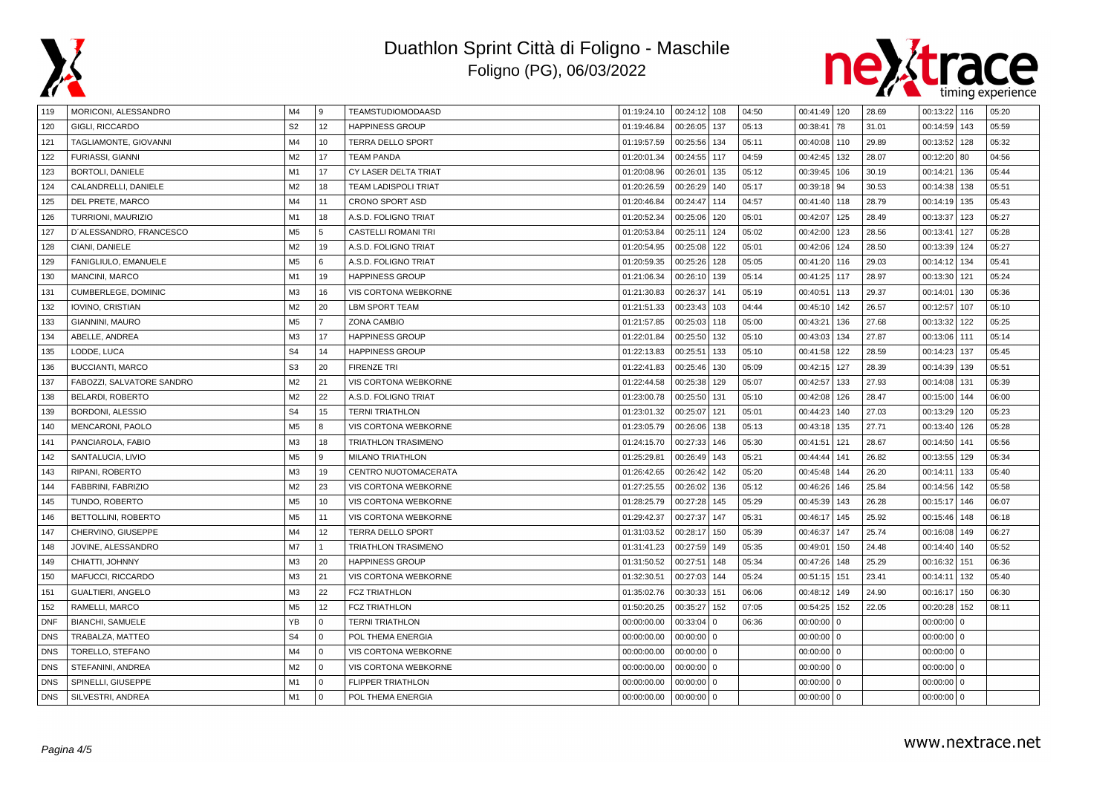



| 119        | MORICONI, ALESSANDRO       | M4             | 9              | TEAMSTUDIOMODAASD           | 01:19:24.10 | $00:24:12$ 108          | 04:50 | 00:41:49 120 |          | 28.69 | 00:13:22     | 116          | 05:20 |
|------------|----------------------------|----------------|----------------|-----------------------------|-------------|-------------------------|-------|--------------|----------|-------|--------------|--------------|-------|
| 120        | GIGLI, RICCARDO            | S <sub>2</sub> | 12             | <b>HAPPINESS GROUP</b>      | 01:19:46.84 | 00:26:05<br>137         | 05:13 | 00:38:41     | 78       | 31.01 | 00:14:59     | 143          | 05:59 |
| 121        | TAGLIAMONTE, GIOVANNI      | M4             | 10             | <b>TERRA DELLO SPORT</b>    | 01:19:57.59 | 00:25:56<br>134         | 05:11 | 00:40:08 110 |          | 29.89 | 00:13:52     | 128          | 05:32 |
| 122        | FURIASSI, GIANNI           | M <sub>2</sub> | 17             | <b>TEAM PANDA</b>           | 01:20:01.34 | 00:24:55<br>117         | 04:59 | 00:42:45 132 |          | 28.07 | 00:12:20     | 80           | 04:56 |
| 123        | BORTOLI, DANIELE           | M1             | 17             | CY LASER DELTA TRIAT        | 01:20:08.96 | 00:26:01<br>135         | 05:12 | 00:39:45 106 |          | 30.19 | 00:14:21     | 136          | 05:44 |
| 124        | CALANDRELLI, DANIELE       | M <sub>2</sub> | 18             | <b>TEAM LADISPOLI TRIAT</b> | 01:20:26.59 | 00:26:29<br>140         | 05:17 | 00:39:18 94  |          | 30.53 | 00:14:38     | 138          | 05:51 |
| 125        | DEL PRETE, MARCO           | M <sub>4</sub> | 11             | <b>CRONO SPORT ASD</b>      | 01:20:46.84 | 00:24:47<br>114         | 04:57 | 00:41:40 118 |          | 28.79 | 00:14:19     | 135          | 05:43 |
| 126        | TURRIONI, MAURIZIO         | M1             | 18             | A.S.D. FOLIGNO TRIAT        | 01:20:52.34 | 00:25:06<br>120         | 05:01 | 00:42:07 125 |          | 28.49 | 00:13:37     | 123          | 05:27 |
| 127        | D'ALESSANDRO, FRANCESCO    | M <sub>5</sub> | 5              | CASTELLI ROMANI TRI         | 01:20:53.84 | 00:25:11<br>124         | 05:02 | 00:42:00 123 |          | 28.56 | 00:13:41     | 127          | 05:28 |
| 128        | CIANI, DANIELE             | M <sub>2</sub> | 19             | A.S.D. FOLIGNO TRIAT        | 01:20:54.95 | 00:25:08<br>122         | 05:01 | 00:42:06     | 124      | 28.50 | 00:13:39     | 124          | 05:27 |
| 129        | FANIGLIULO, EMANUELE       | M <sub>5</sub> | 6              | A.S.D. FOLIGNO TRIAT        | 01:20:59.35 | 00:25:26<br>128         | 05:05 | 00:41:20     | 116      | 29.03 | 00:14:12     | 134          | 05:41 |
| 130        | <b>MANCINI, MARCO</b>      | M1             | 19             | <b>HAPPINESS GROUP</b>      | 01:21:06.34 | 00:26:10<br>139         | 05:14 | 00:41:25 117 |          | 28.97 | 00:13:30     | 121          | 05:24 |
| 131        | <b>CUMBERLEGE, DOMINIC</b> | M3             | 16             | VIS CORTONA WEBKORNE        | 01:21:30.83 | 00:26:37<br>141         | 05:19 | 00:40:51 113 |          | 29.37 | 00:14:01     | 130          | 05:36 |
| 132        | IOVINO, CRISTIAN           | M <sub>2</sub> | 20             | <b>LBM SPORT TEAM</b>       | 01:21:51.33 | 00:23:43<br>103         | 04:44 | 00:45:10 142 |          | 26.57 | 00:12:57     | 107          | 05:10 |
| 133        | GIANNINI, MAURO            | M <sub>5</sub> | $\overline{7}$ | ZONA CAMBIO                 | 01:21:57.85 | 00:25:03<br>118         | 05:00 | 00:43:21     | 136      | 27.68 | 00:13:32     | 122          | 05:25 |
| 134        | ABELLE, ANDREA             | M3             | 17             | <b>HAPPINESS GROUP</b>      | 01:22:01.84 | 00:25:50<br>132         | 05:10 | 00:43:03 134 |          | 27.87 | 00:13:06     | 111          | 05:14 |
| 135        | LODDE, LUCA                | S <sub>4</sub> | 14             | <b>HAPPINESS GROUP</b>      | 01:22:13.83 | 00:25:51<br>133         | 05:10 | 00:41:58     | 122      | 28.59 | 00:14:23     | 137          | 05:45 |
| 136        | <b>BUCCIANTI, MARCO</b>    | S <sub>3</sub> | 20             | <b>FIRENZE TRI</b>          | 01:22:41.83 | 00:25:46<br>130         | 05:09 | 00:42:15     | 127      | 28.39 | 00:14:39     | 139          | 05:51 |
| 137        | FABOZZI, SALVATORE SANDRO  | M <sub>2</sub> | 21             | VIS CORTONA WEBKORNE        | 01:22:44.58 | 00:25:38<br>129         | 05:07 | 00:42:57     | 133      | 27.93 | 00:14:08     | 131          | 05:39 |
| 138        | BELARDI, ROBERTO           | M <sub>2</sub> | 22             | A.S.D. FOLIGNO TRIAT        | 01:23:00.78 | 00:25:50<br>131         | 05:10 | 00:42:08     | 126      | 28.47 | 00:15:00     | 144          | 06:00 |
| 139        | BORDONI, ALESSIO           | S <sub>4</sub> | 15             | <b>TERNI TRIATHLON</b>      | 01:23:01.32 | 00:25:07<br>121         | 05:01 | 00:44:23     | 140      | 27.03 | 00:13:29     | 120          | 05:23 |
| 140        | MENCARONI, PAOLO           | M <sub>5</sub> | 8              | VIS CORTONA WEBKORNE        | 01:23:05.79 | 00:26:06<br>138         | 05:13 | 00:43:18 135 |          | 27.71 | 00:13:40     | 126          | 05:28 |
| 141        | PANCIAROLA, FABIO          | M <sub>3</sub> | 18             | <b>TRIATHLON TRASIMENO</b>  | 01:24:15.70 | 00:27:33<br>146         | 05:30 | 00:41:51     | 121      | 28.67 | 00:14:50     | 141          | 05:56 |
| 142        | SANTALUCIA, LIVIO          | M <sub>5</sub> | 9              | <b>MILANO TRIATHLON</b>     | 01:25:29.81 | 00:26:49<br>143         | 05:21 | 00:44:44 141 |          | 26.82 | 00:13:55     | 129          | 05:34 |
| 143        | RIPANI, ROBERTO            | M <sub>3</sub> | 19             | CENTRO NUOTOMACERATA        | 01:26:42.65 | 00:26:42<br>142         | 05:20 | 00:45:48 144 |          | 26.20 | 00:14:11     | 133          | 05:40 |
| 144        | FABBRINI, FABRIZIO         | M <sub>2</sub> | 23             | VIS CORTONA WEBKORNE        | 01:27:25.55 | 00:26:02<br>136         | 05:12 | 00:46:26     | 146      | 25.84 | 00:14:56     | 142          | 05:58 |
| 145        | TUNDO, ROBERTO             | M <sub>5</sub> | 10             | VIS CORTONA WEBKORNE        | 01:28:25.79 | 00:27:28<br>145         | 05:29 | 00:45:39     | 143      | 26.28 | 00:15:17     | 146          | 06:07 |
| 146        | BETTOLLINI, ROBERTO        | M <sub>5</sub> | 11             | VIS CORTONA WEBKORNE        | 01:29:42.37 | 00:27:37<br>147         | 05:31 | 00:46:17     | 145      | 25.92 | 00:15:46     | 148          | 06:18 |
| 147        | CHERVINO, GIUSEPPE         | M4             | 12             | <b>TERRA DELLO SPORT</b>    | 01:31:03.52 | 00:28:17<br>150         | 05:39 | 00:46:37     | 147      | 25.74 | 00:16:08     | 149          | 06:27 |
| 148        | JOVINE, ALESSANDRO         | M7             | $\mathbf{1}$   | TRIATHLON TRASIMENO         | 01:31:41.23 | 00:27:59<br>149         | 05:35 | 00:49:01     | 150      | 24.48 | 00:14:40     | 140          | 05:52 |
| 149        | CHIATTI, JOHNNY            | M <sub>3</sub> | 20             | <b>HAPPINESS GROUP</b>      | 01:31:50.52 | 00:27:51<br>148         | 05:34 | 00:47:26     | 148      | 25.29 | 00:16:32     | 151          | 06:36 |
| 150        | MAFUCCI, RICCARDO          | M3             | 21             | VIS CORTONA WEBKORNE        | 01:32:30.51 | 00:27:03<br>144         | 05:24 | 00:51:15     | 151      | 23.41 | 00:14:11     | 132          | 05:40 |
| 151        | GUALTIERI, ANGELO          | M <sub>3</sub> | 22             | <b>FCZ TRIATHLON</b>        | 01:35:02.76 | 00:30:33<br>151         | 06:06 | 00:48:12     | 149      | 24.90 | 00:16:17     | 150          | 06:30 |
| 152        | RAMELLI, MARCO             | M <sub>5</sub> | 12             | <b>FCZ TRIATHLON</b>        | 01:50:20.25 | 152<br>00:35:27         | 07:05 | 00:54:25     | 152      | 22.05 | 00:20:28     | 152          | 08:11 |
| <b>DNF</b> | <b>BIANCHI, SAMUELE</b>    | YB             | $\Omega$       | <b>TERNI TRIATHLON</b>      | 00:00:00.00 | 00:33:04<br>$\Omega$    | 06:36 | 00:00:00     | $\Omega$ |       | 00:00:00     | $\mathbf 0$  |       |
| <b>DNS</b> | TRABALZA, MATTEO           | S <sub>4</sub> | $\mathbf 0$    | POL THEMA ENERGIA           | 00:00:00.00 | 00:00:00<br>$\mathbf 0$ |       | $00:00:00$ 0 |          |       | 00:00:00     | $\mathbf{0}$ |       |
| <b>DNS</b> | TORELLO, STEFANO           | M4             | $\mathbf 0$    | VIS CORTONA WEBKORNE        | 00:00:00.00 | 00:00:00<br>$\mathbf 0$ |       | $00:00:00$ 0 |          |       | $00:00:00$ 0 |              |       |
| <b>DNS</b> | STEFANINI, ANDREA          | M <sub>2</sub> | $\Omega$       | VIS CORTONA WEBKORNE        | 00:00:00.00 | 00:00:00<br>$\Omega$    |       | $00:00:00$ 0 |          |       | $00:00:00$ 0 |              |       |
| <b>DNS</b> | SPINELLI, GIUSEPPE         | M1             | $\mathbf 0$    | <b>FLIPPER TRIATHLON</b>    | 00:00:00.00 | 00:00:00<br>$\mathbf 0$ |       | $00:00:00$ 0 |          |       | $00:00:00$ 0 |              |       |
| <b>DNS</b> | SILVESTRI, ANDREA          | M1             | $\mathbf 0$    | POL THEMA ENERGIA           | 00:00:00.00 | $00:00:00$ 0            |       | $00:00:00$ 0 |          |       | $00:00:00$ 0 |              |       |